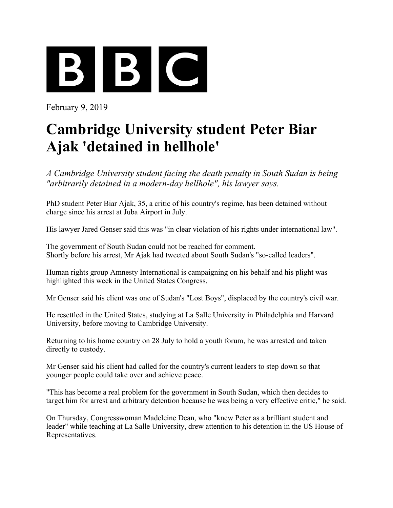

February 9, 2019

## **Cambridge University student Peter Biar Ajak 'detained in hellhole'**

*A Cambridge University student facing the death penalty in South Sudan is being "arbitrarily detained in a modern-day hellhole", his lawyer says.*

PhD student Peter Biar Ajak, 35, a critic of his country's regime, has been detained without charge since his arrest at Juba Airport in July.

His lawyer Jared Genser said this was "in clear violation of his rights under international law".

The government of South Sudan could not be reached for comment. Shortly before his arrest, Mr Ajak had tweeted about South Sudan's "so-called leaders".

Human rights group Amnesty International is campaigning on his behalf and his plight was highlighted this week in the United States Congress.

Mr Genser said his client was one of Sudan's "Lost Boys", displaced by the country's civil war.

He resettled in the United States, studying at La Salle University in Philadelphia and Harvard University, before moving to Cambridge University.

Returning to his home country on 28 July to hold a youth forum, he was arrested and taken directly to custody.

Mr Genser said his client had called for the country's current leaders to step down so that younger people could take over and achieve peace.

"This has become a real problem for the government in South Sudan, which then decides to target him for arrest and arbitrary detention because he was being a very effective critic," he said.

On Thursday, Congresswoman Madeleine Dean, who "knew Peter as a brilliant student and leader" while teaching at La Salle University, drew attention to his detention in the US House of Representatives.